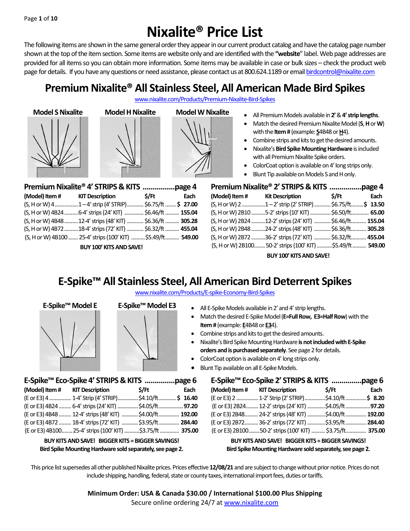# **Nixalite® Price List**

The following items are shown in the same general order they appear in our current product catalog and have the catalog page number shown at the top of the item section. Some items are website only and are identified with the **"website**" label. Web page addresses are provided for all items so you can obtain more information. Some items may be available in case or bulk sizes – check the product web page for details. If you have any questions or need assistance, please contact us at 800.624.1189 or email birdcontrol@nixalite.com

## **Premium Nixalite® All Stainless Steel, All American Made Bird Spikes**

www.nixalite.com/Products/Premium-Nixalite-Bird-Spikes







**Model S Nixalite Model H Nixalite Model W Nixalite All Premium Models available in 2' & 4' strip lengths.** 

- Match the desired Premium Nixalite Model (**S**, **H**or **W**) with the **Item #** (example: **S**4B48 or **H**4).
- Combine strips and kits to get the desired amounts.
- Nixalite's **Bird Spike Mounting Hardware** is included with all Premium Nixalite Spike orders.
- ColorCoat option is available on 4' long strips only.
- Blunt Tip available on Models S and H only.

|  | (Model) Item # KIT Description \$/Ft                             |  | Each |
|--|------------------------------------------------------------------|--|------|
|  | $(S, H \text{ or } W)$ 41-4' strip (4' STRIP) \$6.75/ft  \$27.00 |  |      |
|  | (S, H or W) 4B24  6-4' strips (24' KIT)  \$6.46/ft  155.04       |  |      |
|  | (S, H or W) 4B48  12-4' strips (48' KIT)  \$6.36/ft  305.28      |  |      |
|  | (S, H or W) 4B72  18-4' strips (72' KIT)  \$6.32/ft  455.04      |  |      |
|  | (S, H or W) 4B100  25-4' strips (100' KIT)  \$5.49/ft  549.00    |  |      |

**BUY 100' KITS AND SAVE!**

**E-Spike™ Eco-Spike 4' STRIPS & KITS ...............page 6 (Model) Item # KIT Description \$/Ft Each** (E or E3) 4................ 1-4' Strip (4' STRIP)...............\$4.10/ft.............**\$ 16.40** (E or E3) 4B24......... 6-4'strips (24' KIT) ...............\$4.05/ft..................**97.20** (E or E3) 4B48......... 12-4'strips (48' KIT) ............\$4.00/ft............... **192.00** (E or E3) 4B72......... 18-4'strips (72' KIT) ............\$3.95/ft............... **284.40** (E or E3) 4B100........25-4'strips (100' KIT) ...........\$3.75/ft.............. **375.00 BUY KITS AND SAVE! BIGGER KITS = BIGGER SAVINGS! Bird Spike Mounting Hardware sold separately, see page 2.**

| Premium Nixalite® 2' STRIPS & KITS page 4 |                                                             |       |      |
|-------------------------------------------|-------------------------------------------------------------|-------|------|
|                                           | (Model) Item # Kit Description                              | \$/Ft | Each |
|                                           | (S, H or W) 2 1-2' strip (2' STRIP)  \$6.75/ft\$ 13.50      |       |      |
|                                           | (S, H or W) 2B10 5-2' strips (10' KIT)  \$6.50/ft 65.00     |       |      |
|                                           | (S, H or W) 2B24 12-2' strips (24' KIT)  \$6.46/ft 155.04   |       |      |
|                                           | (S, H or W) 2B48 24-2' strips (48' KIT)  \$6.36/ft 305.28   |       |      |
|                                           | (S, H or W) 2B72 36-2' strips (72' KIT)  \$6.32/ft 455.04   |       |      |
|                                           | (S, H or W) 2B100 50-2' strips (100' KIT) \$5.49/ft  549.00 |       |      |

**BUY 100' KITS AND SAVE!**

## **E-Spike™ All Stainless Steel, All American Bird Deterrent Spikes**

| www.nixalite.com/Products/E-spike-Economy-Bird-Spikes |  |  |  |
|-------------------------------------------------------|--|--|--|
|                                                       |  |  |  |



- **E-Spike™ Model E E-Spike™ Model E3 All E-Spike Models available in 2' and 4' strip lengths.** 
	- Match the desired E-Spike Model (**E=Full Row, E3=Half Row**) with the **Item #** (example: **E**4B48 or **E3**4).
	- Combine strips and kits to get the desired amounts.
	- Nixalite's Bird Spike Mounting Hardware **is notincluded with E-Spike**  orders and is purchased separately. See page 2 for details.
	- ColorCoat option is available on 4' long strips only.
	- Blunt Tip available on all E-Spike Models.

| E-Spike™ Eco-Spike 2' STRIPS & KITS page 6 |                                                          |  |      |
|--------------------------------------------|----------------------------------------------------------|--|------|
|                                            | (Model) Item # KIT Description \$/Ft                     |  | Each |
|                                            | (E or E3) 2  1-2' Strip (2' STRIP) \$4.10/ft \$ 8.20     |  |      |
|                                            | (E or E3) 2B24 12-2' strips (24' KIT) \$4.05/ft97.20     |  |      |
|                                            | (E or E3) 2B48 24-2' strips (48' KIT) \$4.00/ft  192.00  |  |      |
|                                            | (E or E3) 2B72 36-2' strips (72' KIT) \$3.95/ft  284.40  |  |      |
|                                            | (E or E3) 2B10050-2' strips (100' KIT)  \$3.75/ft 375.00 |  |      |

**BUY KITS AND SAVE! BIGGER KITS =BIGGER SAVINGS! Bird Spike Mounting Hardware sold separately, see page 2.**

This price list supersedes all other published Nixalite prices. Prices effective **12/08/21** and are subject to change without prior notice. Prices do not include shipping, handling, federal, state or county taxes, international import fees, duties or tariffs.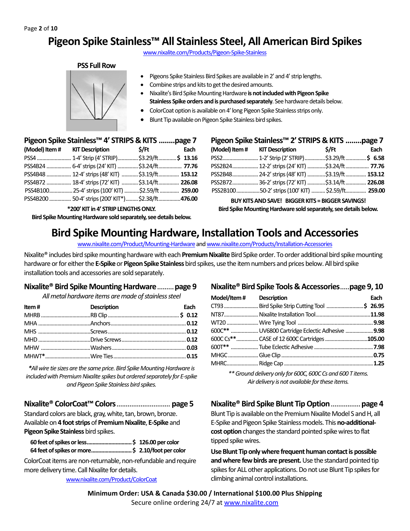### **Pigeon Spike Stainless™ All Stainless Steel, All American Bird Spikes**

www.nixalite.com/Products/Pigeon-Spike-Stainless

#### **PSS Full Row**



- Pigeons Spike Stainless Bird Spikes are available in 2' and 4' strip lengths.
- Combine strips and kits to get the desired amounts.
- Nixalite's Bird Spike Mounting Hardware **is not included with Pigeon Spike Stainless Spike orders and is purchased separately**. See hardware details below.
- ColorCoat option is available on 4' long Pigeon Spike Stainless strips only.
- Blunt Tip available on Pigeon Spike Stainless bird spikes.

#### **Pigeon Spike Stainless™ 4' STRIPS & KITS ........page 7**

| (Model) Item # KIT Description \$/Ft                  | Each |
|-------------------------------------------------------|------|
|                                                       |      |
| PSS4B24  6-4' strips (24' KIT)  \$3.24/ft  77.76      |      |
| PSS4B48  12-4' strips (48' KIT)  \$3.19/ft 153.12     |      |
| PSS4B72  18-4' strips (72' KIT)  \$3.14/ft  226.08    |      |
| PSS4B10025-4' strips (100' KIT) \$2.59/ft  259.00     |      |
| PSS4B200  50-4' strips (200' KIT*)  \$2.38/ft  476.00 |      |

**\*200' KIT in 4' STRIP LENGTHS ONLY.**

**Bird Spike Mounting Hardware sold separately, see details below.**

| Pigeon Spike Stainless <sup>™</sup> 2' STRIPS & KITS page 7 |                                                    |  |      |
|-------------------------------------------------------------|----------------------------------------------------|--|------|
|                                                             | (Model) Item # KIT Description \$/Ft               |  | Each |
|                                                             | PSS2 1-2' Strip (2' STRIP)\$3.29/ft\$ 6.58         |  |      |
|                                                             | PSS2B24 12-2' strips (24' KIT) \$3.24/ft 77.76     |  |      |
|                                                             | PSS2B48 24-2' strips (48' KIT) \$3.19/ft 153.12    |  |      |
|                                                             | PSS2B72 36-2' strips (72' KIT) \$3.14/ft 226.08    |  |      |
|                                                             | PSS2B100 50-2' strips (100' KIT)  \$2.59/ft 259.00 |  |      |

**BUY KITS AND SAVE! BIGGER KITS = BIGGER SAVINGS! Bird Spike Mounting Hardware sold separately, see details below.**

### **Bird Spike Mounting Hardware, Installation Tools and Accessories**

www.nixalite.com/Product/Mounting-Hardware and www.nixalite.com/Products/Installation-Accessories

Nixalite® includes bird spike mounting hardware with each **Premium Nixalite**Bird Spike order. To order additional bird spike mounting hardware or for either the **E-Spike**or **Pigeon Spike Stainless**bird spikes, use the item numbers and prices below. All bird spike installation tools and accessories are sold separately.

#### **Nixalite® Bird Spike Mounting Hardware**.........**page 9**

*All metal hardware items are made of stainless steel*

| Item#<br><b>Exercise Description</b> | Each |
|--------------------------------------|------|
|                                      |      |
|                                      |      |
|                                      |      |
|                                      |      |
|                                      |      |
|                                      |      |

*\*All wire tie sizes are the same price.Bird Spike Mounting Hardware is included with Premium Nixalite spikes but ordered separately for E-spike and Pigeon Spike Stainless bird spikes.*

**Nixalite® ColorCoat™ Colors**............................. **page 5**

Standard colors are black, gray, white, tan, brown, bronze. Available on **4 footstrips** of **Premium Nixalite**, **E-Spike** and **Pigeon Spike Stainless** bird spikes.

ColorCoat items are non-returnable, non-refundable and require more delivery time. Call Nixalite for details.

www.nixalite.com/Product/ColorCoat

#### **Nixalite® Bird Spike Tools & Accessories**.....**page 9, 10**

| Model/Item# Description |                                           | Each |
|-------------------------|-------------------------------------------|------|
|                         |                                           |      |
|                         |                                           |      |
|                         |                                           |      |
|                         |                                           |      |
|                         | 600C Cs**CASE of 12 600C Cartridges105.00 |      |
|                         |                                           |      |
|                         |                                           |      |
|                         |                                           |      |

*\*\* Ground delivery only for 600C, 600C Cs and 600 T items. Air delivery is not available for these items.*

#### **Nixalite® Bird Spike Blunt Tip Option**................**page 4**

Blunt Tip is available on the Premium Nixalite Model S and H, all E-Spike and Pigeon Spike Stainless models. This **no-additional**cost option changes the standard pointed spike wires to flat tipped spike wires.

**Use Blunt Tip only where frequent human contact is possible and where few birds are present.**Use the standard pointed tip spikes for ALL other applications. Do not use Blunt Tip spikes for climbing animal control installations.

**Minimum Order: USA & Canada \$30.00 / International \$100.00 Plus Shipping** Secure online ordering 24/7 at www.nixalite.com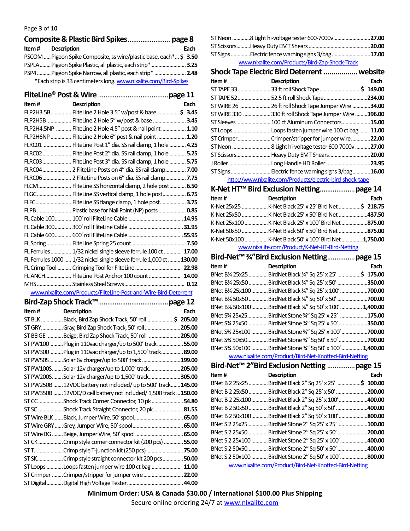#### Page **3** of **10**

| <b>Item#</b> Description                                           | Each |
|--------------------------------------------------------------------|------|
| PSCOM  Pigeon Spike Composite, ss wire/plastic base, each* \$ 3.50 |      |
| PSPLA Pigeon Spike Plastic, all plastic, each strip*  3.25         |      |
| PSP4  Pigeon Spike Narrow, all plastic, each strip*  2.48          |      |
| *Each strip is 33 centimeters long. www.nixalite.com/Bird-Spikes   |      |

**FliteLine® Post & Wire**......................................**page 11**

| Item# | <b>Description</b>                                                   | Each |
|-------|----------------------------------------------------------------------|------|
|       | FLP2H3.5B FliteLine 2 Hole 3.5" w/post & base \$ 3.45                |      |
|       | FLP2H5B  FliteLine 2 Hole 5" w/post & base  3.45                     |      |
|       | FLP2H4.5NP  FliteLine 2 Hole 4.5" post & nail point  1.10            |      |
|       | FLP2H6NP  FliteLine 2 Hole 6" post & nail point  1.20                |      |
|       | FLRC01  FliteLine Post 1" dia. SS rail clamp, 1 hole  4.25           |      |
|       | FLRC02 FliteLine Post 2" dia. SS rail clamp, 1 hole  5.25            |      |
|       | FLRC03 FliteLine Post 3" dia. SS rail clamp, 1 hole  5.75            |      |
|       | FLRC04 2 FliteLine Posts on 4" dia. SS rail clamp 7.00               |      |
|       |                                                                      |      |
|       | FLCM FliteLine SS horizontal clamp, 2 hole post 6.50                 |      |
|       | FLGC FliteLine SS vertical clamp, 1 hole post 6.75                   |      |
|       | FLFC FliteLine SS flange clamp, 1 hole post 3.75                     |      |
|       |                                                                      |      |
|       |                                                                      |      |
|       |                                                                      |      |
|       |                                                                      |      |
|       |                                                                      |      |
|       | FL Ferrules 1/32 nickel single sleeve ferrule 100 ct  17.00          |      |
|       | FL Ferrules 1000  1/32 nickel single sleeve ferrule 1,000 ct  130.00 |      |
|       | FL Crimp Tool  Crimping Tool for FliteLine  22.98                    |      |
|       | FL ANCH FliteLine Post Anchor 100 count  14.00                       |      |
|       |                                                                      |      |
|       |                                                                      |      |

www.nixalite.com/Products/FliteLine-Post-and-Wire-Bird-Deterrent

| <b>Item #</b> Description |                                                                 | Each |
|---------------------------|-----------------------------------------------------------------|------|
|                           | ST BLK Black, Bird Zap Shock Track, 50' roll \$ 205.00          |      |
|                           | ST GRYGray, Bird Zap Shock Track, 50' roll 205.00               |      |
|                           | ST BEIGE Beige, Bird Zap Shock Track, 50' roll 205.00           |      |
|                           | ST PW100 Plug in 110vac charger/up to 500' track 55.00          |      |
|                           | ST PW300  Plug in 110vac charger/up to 1,500' track 89.00       |      |
|                           | ST PW50SSolar 6v charger/up to 500' track199.00                 |      |
|                           | ST PW100SSolar 12v charger/up to 1,000' track205.00             |      |
|                           | ST PW200SSolar 12v charger/up to 1,500' track305.00             |      |
|                           | ST PW250B 12VDC battery not included/ up to 500' track145.00    |      |
|                           | ST PW350B 12VDC/D cell battery not included/ 1,500 track 150.00 |      |
|                           | ST CCShock Track Corner Connector, 10 pk54.80                   |      |
|                           | ST SCShock Track Straight Connector, 20 pk 81.55                |      |
|                           |                                                                 |      |
|                           |                                                                 |      |
|                           |                                                                 |      |
|                           | ST CK Crimp style corner connector kit (200 pcs)  55.00         |      |
|                           | ST TJ Crimp style T-junction kit (250 pcs) 75.00                |      |
|                           | ST SKCrimp style straight connector kit 200 pcs 50.00           |      |
|                           | ST Loops Loops fasten jumper wire 100 ct bag  11.00             |      |
|                           | ST Crimper  Crimper/stripper for jumper wire  22.00             |      |
|                           |                                                                 |      |

| ST Neon 8 Light hi-voltage tester 600-7000v27.00  |  |
|---------------------------------------------------|--|
|                                                   |  |
| ST Signs Electric fence warning signs 3/bag 17.00 |  |
| www.nixalite.com/Products/Bird-Zap-Shock-Track    |  |

|             | Shock Tape Electric Bird Deterrent  website               |              |
|-------------|-----------------------------------------------------------|--------------|
| Item#       | <b>Description</b>                                        | Each         |
| ST TAPE 33  | 33 ft roll Shock Tape                                     | 149.00<br>S. |
|             | ST TAPE 52 52.5 ft roll Shock Tape                        | .234.00      |
| ST WIRE 26  | 26 ft roll Shock Tape Jumper Wire 34.00                   |              |
| ST WIRE 330 | 330 ft roll Shock Tape Jumper Wire 396.00                 |              |
| ST Sleeves  | 100 ct Aluminum Connectors15.00                           |              |
| ST Loops    | Loops fasten jumper wire 100 ct bag                       | 11.00        |
|             | ST Crimper Crimper/stripper for jumper wire               | 22.00        |
| ST Neon     | 8 Light hi-voltage tester 600-7000v                       | .27.00       |
|             | ST Scissors Heavy Duty EMT Shears                         | 20.00        |
|             |                                                           | .23.95       |
|             | ST Signs  Electric fence warning signs 3/bag16.00         |              |
|             | http://www.pivalite.com/Droducts/electric.bird.chock.tope |              |

http://www.nixalite.com/Products/electric-bird-shock-tape

| Item# | <b>Description</b>                                  | Each |
|-------|-----------------------------------------------------|------|
|       |                                                     |      |
|       |                                                     |      |
|       | K-Net 25x100 K-Net Black 25' x 100' Bird Net 875.00 |      |
|       |                                                     |      |
|       |                                                     |      |
|       | www.nixalite.com/Product/K-Net-HT-Bird-Netting      |      |

|       |                                           | Bird-Net <sup>™</sup> 3⁄4"Bird Exclusion Netting page 15 |              |
|-------|-------------------------------------------|----------------------------------------------------------|--------------|
| Item# |                                           | <b>Description</b>                                       | Each         |
|       | BNet B34 25x25                            | BirdNet Black 3/4" Sq 25' x 25'                          | 175.00<br>.S |
|       | BNet B34 25x50                            | BirdNet Black 3/4" Sq 25' x 50'                          | .350.00      |
|       | BNet B34 25x100                           | BirdNet Black 3/4" Sq 25' x 100'                         | .700.00      |
|       | BNet B34 50x50                            | BirdNet Black 3/4" Sq 50' x 50'                          | .700.00      |
|       | BNet B34 50x100                           | BirdNet Black 3/4" Sq 50' x 100'                         | 1,400.00     |
|       | BNet S34 25x25                            | BirdNet Stone 3⁄4" Sq 25' x 25'                          | 175.00       |
|       | BNet S34 25x50                            | BirdNet Stone 3/4" Sq 25' x 50'                          | 350.00       |
|       | BNet S <sup>3</sup> / <sub>4</sub> 25x100 | BirdNet Stone 3/4" Sq 25' x 100'                         | .700.00      |
|       | BNet S34 50x50                            | BirdNet Stone 3⁄4" Sq 50' x 50'                          | .700.00      |
|       | BNet S34 50x100                           | BirdNet Stone 3/4" Sq 50' x 100'                         | 1.400.00     |
|       |                                           | www.nixalite.com/Product/Bird-Net-Knotted-Bird-Netting   |              |

www.nixalite.com/Product/Bird-Net-Knotted-Bird-Netting

|                  | Bird-Net <sup>™</sup> 2"Bird Exclusion Netting         | page 15  |
|------------------|--------------------------------------------------------|----------|
| Item#            | <b>Description</b>                                     | Each     |
| BNet B 2 25x25   | BirdNet Black 2" Sq 25' x 25'                          | \$100.00 |
| BNet B 2 25x50   | BirdNet Black 2" Sq 25' x 50'                          | 200.00   |
| BNet B 2 25x100  | BirdNet Black 2" Sq 25' x 100'                         | .400.00  |
| BNet B 2 50x50   | BirdNet Black 2" Sq 50' x 50'                          | .400.00  |
| BNet B 2 50x100. | BirdNet Black 2" Sq 50' x 100'                         | .800.00  |
| BNet S 2 25x25   | BirdNet Stone 2" Sq 25' x 25'                          | 100.00   |
| BNet S 2 25x50   | BirdNet Stone 2" Sq 25' x 50'                          | 200.00   |
| BNet S 2 25x100  | BirdNet Stone 2" Sq 25' x 100'                         | .400.00  |
| BNet S 2 50x50   | BirdNet Stone 2" Sq 50' x 50'                          | .400.00  |
| BNet S 2 50x100  | BirdNet Stone 2" Sq 50' x 100'                         | .800.00  |
|                  | www.nixalite.com/Product/Bird-Net-Knotted-Bird-Netting |          |

**Minimum Order: USA & Canada \$30.00 / International \$100.00 Plus Shipping**

Secure online ordering 24/7 at www.nixalite.com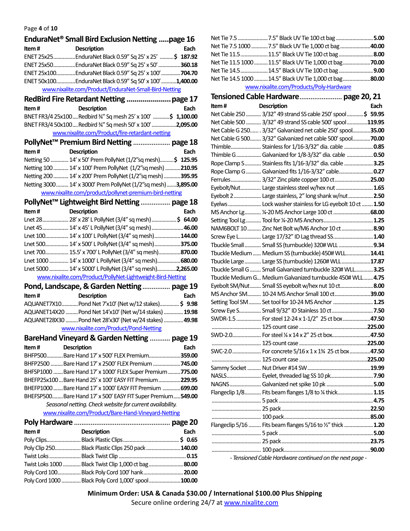#### Page **4** of **10**

|       | EnduraNet <sup>®</sup> Small Bird Exclusion Netting page 16  |      |
|-------|--------------------------------------------------------------|------|
| Item# | <b>Description</b>                                           | Each |
|       | ENET 25x25EnduraNet Black 0.59" Sq 25' x 25' \$ 187.92       |      |
|       | ENET 25x50EnduraNet Black 0.59" Sq 25' x 50' 360.18          |      |
|       | ENET 25x100EnduraNet Black 0.59" Sq 25' x 100'704.70         |      |
|       | ENET 50x100EnduraNet Black 0.59" Sq 50' x 100'1,400.00       |      |
|       | www.nixalite.com/Product/EnduraNet-Small-Bird-Netting        |      |
|       |                                                              |      |
| Item# | <b>Description</b>                                           | Each |
|       | BNET FR3/4 25x100Redbird 34" Sq mesh 25' x 100' \$ 1,100.00  |      |
|       | BNET FR3/4 50x100Redbird 3/4" Sq mesh 50' x 100'2,095.00     |      |
|       | www.nixalite.com/Product/fire-retardant-netting              |      |
|       | PollyNet <sup>™</sup> Premium Bird Netting  page 18          |      |
| Item# | <b>Description</b>                                           | Each |
|       | Netting 50  14' x 50' Prem PollyNet (1/2"sq mesh)\$ 125.95   |      |
|       | Netting 100  14' x 100' Prem PollyNet (1/2"sq mesh) 210.95   |      |
|       | Netting 200  14' x 200' Prem PollyNet (1/2"sq mesh) 395.95   |      |
|       | Netting 3000 14' x 3000' Prem PollyNet (1/2"sq mesh)3,895.00 |      |
|       | www.nixalite.com/product/pollynet-premium-bird-netting       |      |
|       | PollyNet <sup>™</sup> Lightweight Bird Netting  page 18      |      |
| Item# | <b>Description</b>                                           | Each |
|       | Lnet 28 28' x 28' L PollyNet (3/4" sq mesh) \$ 64.00         |      |
|       | Lnet 45 14' x 45' L PollyNet (3/4" sq mesh) 46.00            |      |
|       | Lnet 100 14' x 100' L PollyNet (3/4" sq mesh)144.00          |      |
|       | Lnet 500 14' x 500' L PollyNet (3/4" sq mesh)375.00          |      |
|       | Lnet 700 15.5' x 700' L PollyNet (3/4" sq mesh)870.00        |      |
|       | Lnet 1000  14' x 1000' L PollyNet (3/4" sq mesh) 680.00      |      |
|       | Lnet 5000  14' x 5000' L PollyNet (3/4" sq mesh)2,265.00     |      |
|       | www.nixalite.com/Product/PollyNet-Lightweight-Bird-Netting   |      |
|       | Pond, Landscape, & Garden Netting page 19                    |      |
| Item# | <b>Description</b>                                           | Each |
|       | AQUANET7X10Pond Net 7'x10' (Net w/12 stakes) \$ 9.98         |      |
|       | AQUANET14X20  Pond Net 14'x10' (Net w/14 stakes)  19.98      |      |
|       | AQUANET28X30  Pond Net 28'x30' (Net w/24 stakes)  49.98      |      |
|       | www.nixalite.com/Product/Pond-Netting                        |      |
|       | BareHand Vineyard & Garden Netting  page 19                  |      |
| Item# | Description                                                  | Each |
|       | BHFP500Bare Hand 17' x 500' FLEX Premium359.00               |      |
|       | BHFP2500 Bare Hand 17' x 2500' FLEX Premium <b>745.00</b>    |      |
|       | BHFSP1000 Bare Hand 17' x 1000' FLEX Super Premium 775.00    |      |
|       | BHEFP25x100Bare Hand 25' x 100' EASY FIT Premium229.95       |      |
|       | BHEFP1000 Bare Hand 17' x 1000' EASY FIT Premium  699.00     |      |
|       | BHEFSP500Bare Hand 17' x 500' EASY FIT Super Premium549.00   |      |
|       | Seasonal netting. Check website for current availability.    |      |
|       | www.nixalite.com/Product/Bare-Hand-Vineyard-Netting          |      |
|       |                                                              |      |
| Item# | Description                                                  | Each |
|       |                                                              |      |
|       | Poly Clip 250 Black Plastic Clips 250 pack 140.00            |      |
|       |                                                              |      |
|       | Twist Loks 1000  Black Twist Clip 1,000 ct bag  80.00        |      |
|       | Poly Cord 100 Black Poly Cord 100' hank 20.00                |      |
|       | Poly Cord 1000  Black Poly Cord 1,000' spool 100.00          |      |

| Net Tie 7.5 7.5" Black UV Tie 100 ct bag 5.00           |  |
|---------------------------------------------------------|--|
| Net Tie 7.5 1000 7.5" Black UV Tie 1,000 ct bag 40.00   |  |
| Net Tie 11.5 11.5" Black UV Tie 100 ct bag 8.00         |  |
|                                                         |  |
| Net Tie 14.5 14.5" Black UV Tie 100 ct bag 9.00         |  |
| Net Tie 14.5 1000  14.5" Black UV Tie 1,000 ct bag80.00 |  |
| www.nixalite.com/Products/Poly-Hardware                 |  |

#### **Tensioned Cable Hardware**....................... **page 20, 21 Item # Description Each** Net Cable 250........... 3/32" 49 strand SS cable 250' spool............**\$ 59.95** Net Cable 500........... 3/32" 49 strand SS cable 500' spool...............**119.95** Net CableG250……. 3/32" Galvanized net cable 250' spool.............**35.00** Net Cable G 500........ 3/32" Galvanized net cable 500' spool.............**70.00** Thimble...................... Stainless for 1/16-3/32" dia. cable .....................**0.85** Thimble G..................Galvanized for 1/8-3/32" dia. cable ...................**0.50** Rope Clamp S............ Stainless fits 1/16-3/32" dia. cable .....................**3.25** Rope Clamp G...........Galvanized fits 1/16-3/32" cable.........................**0.27** Ferrules...................... 3/32" Zinc plate copper 100 ct..........................**25.00** Eyebolt/Nut............... Large stainless steel w/hex nut...........................**1.65** Eyebolt 2.................... Large stainless, 2" long shank w/nut..................**2.50** Eyelws........................ Lock washer stainless for LG eyebolt 10 ct........**1.50** MS Anchor Lg............¼-20 MS Anchor Large100 ct...........................**68.00** Setting Tool Lg........... Tool for ¼-20 MS Anchors....................................**1.25** NAM6BOLT 10.......... Zinc Net Bolt w/M6 Anchor 10 ct.......................**8.90** Screw Eye L................ Large 17/32" ID Lag thread SS.............................**1.40** Tbuckle Small............ Small SS (turnbuckle) 320# WLL .........................**9.34** Tbuckle Medium...... Medium SS (turnbuckle) 450# WLL..................**14.41** Tbuckle Large............ Large SS (turnbuckle) 1260# WLL.....................**17.87** Tbuckle Small G........ Small Galvanized turnbuckle 320# WLL.............**3.25** Tbuckle Medium G... Medium Galvanized turnbuckle 450# WLL.......**4.75** Eyebolt SM/Nut........ Small SS eyebolt w/hex nut 10 ct........................**8.00** MS Anchor SM.......... 10-24 MS Anchor Small 100 ct..........................**39.00** Setting Tool SM......... Set tool for 10-24 MS Anchor .............................**1.25** Screw Eye S................ Small 9/32" ID Stainless10 ct..............................**7.50** SWDR-1.5.................. For steel 12-24 x 1-1/2" 25 ct box....................**47.50** .................................... 125 count case..................................................**225.00** SWD-2.0..................... For steel¼ x 14 x 2" 25 ct box............................**47.50** .................................... 125 count case..................................................**225.00** SWC-2.0..................... For concrete5/16x 1 x 1¾ 25 ct box...............**47.50** .................................... 125 count case..................................................**225.00** Sammy Socket..........Nut Driver #14 SW..............................................**19.99** NASLS......................... Eyelet, threaded lag SS 10 pk...............................**7.90** NAGNS.......................Galvanized net spike 10 pk ..................................**5.00** Flangeclip 1/8............ Fits beam flanges 1/8 to ¼ thick..........................**1.15** .................................... 5 pack.....................................................................**4.75** .................................... 25 pack.................................................................**22.50** .................................... 100 pack...............................................................**85.00** Flangeclip 5/16 ......... Fits beam flanges 5/16 to ½" thick.....................**1.20** .................................... 5 pack.....................................................................**5.00** .................................... 25 pack.................................................................**23.75** .................................... 100 pack...............................................................**90.00**

*- Tensioned Cable Hardware continued on the next page -*

Secure online ordering 24/7 at www.nixalite.com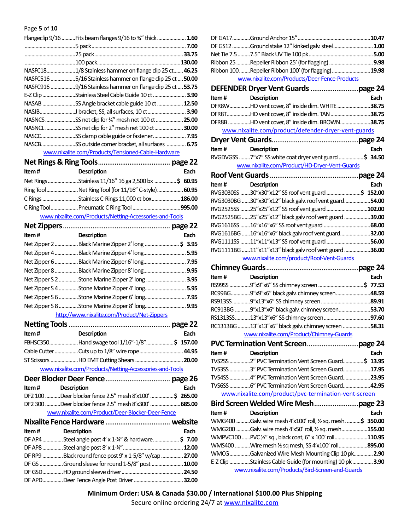Page **5** of **10**

|          | Flangeclip 9/16  Fits beam flanges 9/16 to 3/4" thick  1.60 |        |
|----------|-------------------------------------------------------------|--------|
|          |                                                             |        |
|          |                                                             | 33.75  |
|          |                                                             | 130.00 |
| NASFC18  | 1/8 Stainless hammer on flange clip 25 ct 46.25             |        |
| NASFC516 | .5/16 Stainless hammer on flange clip 25 ct  50.00          |        |
| NASFC916 | .9/16 Stainless hammer on flange clip 25 ct <b>53.75</b>    |        |
| E-Z Clip | .Stainless Steel Cable Guide 10 ct                          | 3.90   |
| NASAB    | SS Angle bracket cable guide 10 ct <b>12.50</b>             |        |
| NASJB    |                                                             | 3.90   |
| NASNCS   | .SS net clip for 3⁄4" mesh net 100 ct                       | .25.00 |
|          | NASNCL SS net clip for 2" mesh net 100 ct                   | 30.00  |
| NASCC    |                                                             |        |
| NASCB    | SS outside corner bracket, all surfaces  6.75               |        |
|          | www.nixalite.com/Products/Tensioned-Cable-Hardware          |        |

| Item# | <b>Description</b>                                      | Each |
|-------|---------------------------------------------------------|------|
|       | Net Rings Stainless 11/16" 16 ga 2,500 bx \$ 60.95      |      |
|       | Ring ToolNet Ring Tool (for 11/16" C-style) 60.95       |      |
|       | C Rings Stainless C-Rings 11,000 ct box186.00           |      |
|       |                                                         |      |
|       | www.nixalite.com/Products/Netting-Accessories-and-Tools |      |

| Net Zippers. |                                             | page 22 |
|--------------|---------------------------------------------|---------|
| Item#        | <b>Description</b>                          | Each    |
| Net Zipper 2 | Black Marine Zipper 2' long  \$ 3.95        |         |
| Net Zipper 4 | . Black Marine Zipper 4' long               | 5.95    |
| Net Zipper 6 | Black Marine Zipper 6' long                 | . 7.95  |
| Net Zipper 8 | Black Marine Zipper 8' long                 | 9.95    |
|              |                                             | 3.95    |
|              |                                             | 5.95    |
|              |                                             | 7.95    |
|              | Net Zipper S 8 Stone Marine Zipper 8' long  | 9.95    |
|              | http://www.nixalite.com/Product/Net-Zippers |         |

| Item # | <b>Description</b>                          | Each |
|--------|---------------------------------------------|------|
|        | FBHSC350Hand swage tool 1/16"-1/8"\$ 157.00 |      |
|        |                                             |      |
|        |                                             |      |
|        |                                             |      |

www.nixalite.com/Products/Netting-Accessories-and-Tools **Deer Blocker Deer Fence**................................... **page 26**

|  | <b>Item # Description</b>                              | Each |
|--|--------------------------------------------------------|------|
|  | DF2 100 Deer blocker fence 2.5" mesh 8'x100' \$ 265.00 |      |
|  | DF2 300 Deer blocker fence 2.5" mesh 8'x300' 685.00    |      |
|  | www.nixalite.com/Product/Deer-Blocker-Deer-Fence       |      |
|  |                                                        |      |

| Item # | <b>Description</b>                                     | Each |  |
|--------|--------------------------------------------------------|------|--|
|        | DF AP4Steel angle post 4' x 1-14" & hardware\$ 7.00    |      |  |
|        |                                                        |      |  |
|        | DF RP9 Black round fence post 9' x 1-5/8" w/cap  27.00 |      |  |
|        | DF GS Ground sleeve for round 1-5/8" post  10.00       |      |  |
|        |                                                        |      |  |
|        |                                                        |      |  |
|        |                                                        |      |  |

|                    | DF GS12 Ground stake 12" kinked galv. steel  1.00                                                             |      |
|--------------------|---------------------------------------------------------------------------------------------------------------|------|
|                    |                                                                                                               |      |
|                    | Ribbon 25 Repeller Ribbon 25' (for flagging)  9.98                                                            |      |
|                    | Ribbon 100Repeller Ribbon 100' (for flagging)19.98                                                            |      |
|                    | www.nixalite.com/Products/Deer-Fence-Products                                                                 |      |
|                    |                                                                                                               |      |
| Item#              | <b>Description</b>                                                                                            | Each |
|                    | DFR8WHD vent cover, 8" inside dim. WHITE 38.75                                                                |      |
|                    | DFR8THD vent cover, 8" inside dim. TAN 38.75                                                                  |      |
|                    | DFR8B HD vent cover, 8" inside dim. BROWN38.75                                                                |      |
|                    | www.nixalite.com/product/defender-dryer-vent-guards                                                           |      |
|                    |                                                                                                               |      |
| Item # Description |                                                                                                               | Each |
|                    | RVGDVGSS 7"x7" SS white coat dryer vent guard \$ 34.50                                                        |      |
|                    | www.nixalite.com/Product/HD-Dryer-Vent-Guards                                                                 |      |
|                    |                                                                                                               |      |
| Item#              | <b>Description</b>                                                                                            | Each |
|                    | RVG3030SS 30"x30"x12" SS roof vent guard \$ 152.00                                                            |      |
|                    | RVG3030BG 30"x30"x12" black galv. roof vent guard54.00                                                        |      |
|                    | RVG2525SS 25"x25"x12" SS roof vent guard 102.00                                                               |      |
|                    | RVG2525BG 25"x25"x12" black galv roof vent guard 39.00                                                        |      |
|                    | RVG1616SS 16"x16"x6" SS roof vent guard  68.00                                                                |      |
|                    | RVG1616BG 16"x16"x6" black galv roof vent guard32.00                                                          |      |
|                    | RVG1111SS 11"x11"x13" SS roof vent guard 56.00                                                                |      |
|                    | RVG1111BG 11"x11"x13" black galv roof vent guard 36.00                                                        |      |
|                    |                                                                                                               |      |
|                    | www.nixalite.com/product/Roof-Vent-Guards                                                                     |      |
|                    |                                                                                                               |      |
| Item#              | <b>Description</b>                                                                                            | Each |
|                    | RS99SS 9"x9"x6" SS chimney screen \$ 77.53                                                                    |      |
|                    | RC99BG9"x9"x6" black galv. chimney screen48.59                                                                |      |
|                    |                                                                                                               |      |
|                    | RC913BG 9"x13"x6" black galv. chimney screen53.70                                                             |      |
|                    |                                                                                                               |      |
|                    | RC1313BG 13"x13"x6" black galv. chimney screen 58.31                                                          |      |
|                    | www.nixalite.com/Product/Chimney-Guards                                                                       |      |
|                    |                                                                                                               |      |
| Item#              | <b>Description</b>                                                                                            | Each |
|                    | TVS2SS 2" PVC Termination Vent Screen Guard\$ 13.95                                                           |      |
|                    | TVS3SS 3" PVC Termination Vent Screen Guard17.95                                                              |      |
|                    | TVS4SS 4" PVC Termination Vent Screen Guard23.95                                                              |      |
|                    | TVS6SS 6" PVC Termination Vent Screen Guard42.95                                                              |      |
|                    | www.nixalite.com/product/pvc-termination-vent-screen                                                          |      |
|                    |                                                                                                               |      |
| Item#              | <b>Description</b>                                                                                            | Each |
|                    | WMG400 Galv. wire mesh 4'x100' roll, 1/2 sq. mesh. \$ 350.00                                                  |      |
|                    | WMG200 Galv. wire mesh 4'x50' roll, 1/2 sq. mesh155.00                                                        |      |
|                    | WMPVC100 PVC 1/2" sq., black coat, 6" x 100' roll110.95                                                       |      |
|                    | WMS400 Wire mesh 1/2 sq mesh, SS 4'x100' roll895.00                                                           |      |
|                    | WMCGGalvanized Wire Mesh Mounting Clip 10 pk 2.90                                                             |      |
|                    | E-Z Clip Stainless Cable Guide (for mounting) 10 pk  3.90<br>www.nixalite.com/Products/Bird-Screen-and-Guards |      |

**Minimum Order: USA & Canada \$30.00 / International \$100.00 Plus Shipping** Secure online ordering 24/7 at www.nixalite.com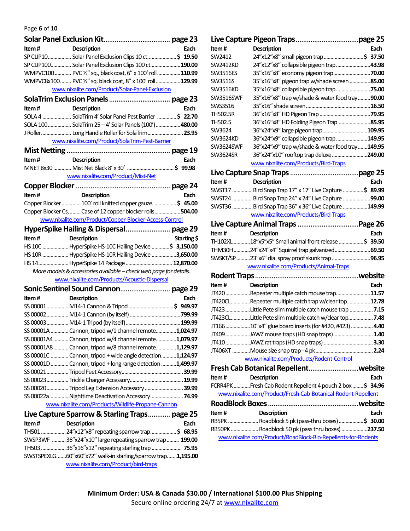Page **6** of **10**

| Item # | <b>Description</b>                                                                                 | Each        |
|--------|----------------------------------------------------------------------------------------------------|-------------|
|        | SP CLIP10 Solar Panel Exclusion Clips 10 ct\$ 19.50                                                |             |
|        | SP CLIP100 Solar Panel Exclusion Clips 100 ct 190.00                                               |             |
|        | WMPVC100  PVC 1/2" sq., black coat, 6" x 100' roll  110.99                                         |             |
|        | WMPVC8x100 PVC 1/2" sq. black coat, 8" x 100' roll129.99                                           |             |
|        | www.nixalite.com/Product/Solar-Panel-Exclusion                                                     |             |
|        |                                                                                                    |             |
| Item#  | <b>Description</b>                                                                                 | Each        |
|        | SOLA 4  SolaTrim 4' Solar Panel Pest Barrier \$ 22.70                                              |             |
|        | SOLA 100 SolaTrim 25-4' Solar Panels (100')480.00                                                  |             |
|        | J Roller Long Handle Roller for SolaTrim 23.95                                                     |             |
|        | www.nixalite.com/Product/SolaTrim-Pest-Barrier                                                     |             |
|        |                                                                                                    |             |
| Item#  | <b>Description</b>                                                                                 | Each        |
|        |                                                                                                    |             |
|        | www.nixalite.com/Product/Mist-Net                                                                  |             |
|        |                                                                                                    |             |
| Item#  | Description                                                                                        | Each        |
|        | Copper Blocker  100' roll knitted copper gauze. \$ 45.00                                           |             |
|        | Copper Blocker Cs,  Case of 12 copper blocker rolls504.00                                          |             |
|        | www.nixalite.com/Product/Copper-Blocker-Access-Control                                             |             |
|        |                                                                                                    |             |
| Item#  | <b>Description</b>                                                                                 | Starting \$ |
|        | HS 10C  HyperSpike HS-10C Hailing Device \$ 3,150.00                                               |             |
|        | HS 10R  HyperSpike HS-10R Hailing Device 3,650.00                                                  |             |
|        | HS 14 HyperSpike 14 Package  12,870.00                                                             |             |
|        | More models & accessories available - check web page for details.                                  |             |
|        | www.nixalite.com/Products/Acoustic-Dispersal                                                       |             |
|        |                                                                                                    |             |
| Item#  | <b>Description</b>                                                                                 | Each        |
|        | SS 00001 M14-1 Cannon & Tripod \$ 949.97                                                           |             |
|        |                                                                                                    |             |
|        |                                                                                                    |             |
|        | SS 00001A  Cannon, tripod w/1 channel remote1,024.97                                               |             |
|        | SS 00001A4  Cannon, tripod w/4 channel remote1,079.97                                              |             |
|        | SS 00001A8  Cannon, tripod w/8 channel remote1,129.97                                              |             |
|        | SS 00001C  Cannon, tripod + wide angle detection1,124.97                                           |             |
|        | SS 00001D  Cannon, tripod + long range detection 1,499.97                                          |             |
|        |                                                                                                    |             |
|        |                                                                                                    |             |
|        | SS 00020 Tripod Leg Extension Accessory 39.99<br>SS 00022a Nighttime Deactivation Accessory 74.99  |             |
|        | www.nixalite.com/Products/Wildlife-Propane-Cannon                                                  |             |
|        |                                                                                                    |             |
|        | Live Capture Sparrow & Starling Traps page 25                                                      |             |
|        |                                                                                                    |             |
| Item#  | <b>Description</b>                                                                                 | Each        |
|        | TH501 24"x12"x8" repeating sparrow trap\$ 68.95                                                    |             |
|        | SWSP3WF 36"x24"x10" large repeating sparrow trap  199.00                                           |             |
|        | TH503 36"x16"x12" repeating starling trap  75.95                                                   |             |
|        | SWSTSPEXLG60"x60"x72" walk-in starling/sparrow trap1,195.00<br>www.nixalite.com/Product/bird-traps |             |

| Item#            | <b>Description</b>                                                                                                | Each |
|------------------|-------------------------------------------------------------------------------------------------------------------|------|
| SW2412           | 24"x12"x8" small pigeon trap \$ 37.50                                                                             |      |
| <b>SW2412KD</b>  | 24"x12"x8" collapsible pigeon trap43.98                                                                           |      |
| <b>SW3516ES</b>  |                                                                                                                   |      |
| SW3516S          | 35"x16"x8" pigeon trap w/shade screen  85.00                                                                      |      |
| <b>SW3516KD</b>  | 35"x16"x8" collapsible pigeon trap75.00                                                                           |      |
| <b>SW3516SWF</b> | 35"x16"x8" trap w/shade & water food tray90.00                                                                    |      |
| SWS3516          |                                                                                                                   |      |
| <b>TH502.5R</b>  |                                                                                                                   |      |
| TH502.5          | 36"x16"x8" HD Folding Pigeon Trap 85.95                                                                           |      |
| SW3624           | 36"x24"x9" large pigeon trap109.95                                                                                |      |
| SW3624KD         | 36"x24"x9" collapsible pigeon trap149.95                                                                          |      |
| SW3624SWF        | 36"x24"x9" trap w/shade & water food tray149.95                                                                   |      |
| SW3624SR         | 36"x24"x10" rooftop trap deluxe 249.00                                                                            |      |
|                  | www.nixalite.com/Products/Bird-Traps                                                                              |      |
|                  |                                                                                                                   |      |
| Item#            | <b>Description</b>                                                                                                | Each |
|                  | SWST17 Bird Snap Trap 17" x 17" Live Capture \$ 89.99                                                             |      |
|                  | SWST24 Bird Snap Trap 24" x 24" Live Capture 99.00                                                                |      |
|                  | SWST36 Bird Snap Trap 36" x 36" Live Capture 149.99                                                               |      |
|                  | www.nixalite.com/Products/Bird-Traps                                                                              |      |
|                  |                                                                                                                   |      |
| Item#            | <b>Description</b>                                                                                                | Each |
|                  | TH102XL 18"x5"x5" Small animal front release \$ 39.50                                                             |      |
|                  |                                                                                                                   |      |
|                  | THM30H24"x24"x4" Squirrel trap galvanized69.50                                                                    |      |
|                  | SWSKT/SP 23"x6" dia. spray proof skunk trap 96.95                                                                 |      |
|                  | www.nixalite.com/Products/Animal-Traps                                                                            |      |
|                  |                                                                                                                   |      |
| Item#            |                                                                                                                   | Each |
|                  | <b>Description</b>                                                                                                |      |
|                  | JT420Repeater multiple catch mouse trap11.57                                                                      |      |
|                  | JT420CLRepeater multiple catch trap w/clear top12.78                                                              |      |
|                  | JT423 Little Pete slim multiple catch mouse trap  7.15                                                            |      |
|                  | JT423CLLittle Pete slim multiple catch w/clear top 7.48                                                           |      |
|                  | JT16610"x4" glue board inserts (for #420, #423)  4.40                                                             |      |
|                  | JT409JAWZ mouse traps (HD snap traps) 1.40                                                                        |      |
|                  |                                                                                                                   |      |
|                  |                                                                                                                   |      |
|                  | www.nixalite.com/Products/Rodent-Control                                                                          |      |
|                  |                                                                                                                   |      |
| Item#            | <b>Description</b>                                                                                                | Each |
|                  | FCRR4PK Fresh Cab Rodent Repellent 4 pouch 2 box \$ 34.96                                                         |      |
|                  | www.nixalite.com/Product/Fresh-Cab-Botanical-Rodent-Repellent                                                     |      |
|                  |                                                                                                                   |      |
| Item#            | <b>Description</b>                                                                                                | Each |
|                  | RB5PK  Roadblock 5 pk (pass-thru boxes) \$ 30.00                                                                  |      |
|                  | RB50PK  Roadblock 50 pk (pass thru boxes) 237.50<br>www.nixalite.com/Product/RoadBlock-Bio-Repellents-for-Rodents |      |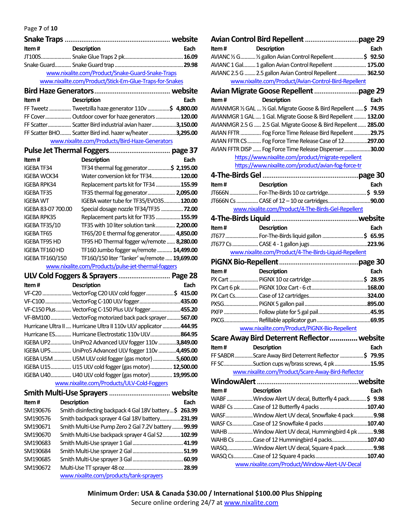Page **7** of **10**

| <b>Page / 01 10</b>    |                                                                    |      |
|------------------------|--------------------------------------------------------------------|------|
|                        |                                                                    |      |
| Item#                  | <b>Description</b>                                                 | Each |
|                        |                                                                    |      |
|                        |                                                                    |      |
|                        | www.nixalite.com/Product/Snake-Guard-Snake-Traps                   |      |
|                        | www.nixalite.com/Product/Stick-Em-Glue-Traps-for-Snakes            |      |
|                        |                                                                    |      |
| Item #                 | <b>Description</b>                                                 | Each |
|                        | FF Tweetz  Tweetzilla haze generator 110v \$ 4,800.00              |      |
|                        | FF Cover Outdoor cover for haze generators 120.00                  |      |
|                        | FF Scatter Scatter Bird industrial avian hazer3,150.00             |      |
|                        | FF Scatter BHO Scatter Bird ind. hazer w/heater 3,295.00           |      |
|                        | www.nixalite.com/Products/Bird-Haze-Generators                     |      |
|                        |                                                                    |      |
| Item#                  | <b>Description</b>                                                 | Each |
| <b>IGEBA TF34</b>      | TF34 thermal fog generator\$ 2,195.00                              |      |
| <b>IGEBA WCK34</b>     | Water conversion kit for TF34120.00                                |      |
| <b>IGEBA RPK34</b>     | Replacement parts kit for TF34 155.99                              |      |
| <b>IGEBA TF35</b>      | TF35 thermal fog generator 2,095.00                                |      |
| <b>IGEBA WT</b>        | IGEBA water tube for TF35/EVO35120.00                              |      |
| IGEBA 83-07 700.00     | Special dosage nozzle TF34/TF35  72.00                             |      |
| <b>IGEBA RPK35</b>     | Replacement parts kit for TF35 155.99                              |      |
| IGEBA TF35/10          | TF35 with 10 liter solution tank 2,200.00                          |      |
| <b>IGEBA TF65</b>      | TF65/20 E thermal fog generator 4,850.00                           |      |
| <b>IGEBA TF95 HD</b>   | TF95 HD Thermal fogger w/remote  8,280.00                          |      |
| IGEBA TF160 HD         | TF160 Jumbo fogger w/remote  14,499.00                             |      |
|                        |                                                                    |      |
|                        |                                                                    |      |
| <b>IGEBA TF160/150</b> | TF160/150 liter 'Tanker' w/remote  19,699.00                       |      |
|                        | www.nixalite.com/Products/pulse-jet-thermal-foggers                |      |
|                        |                                                                    |      |
| Item#                  | Description                                                        | Each |
|                        | VF-C20  VectorFog C20 ULV cold fogger \$ 415.00                    |      |
|                        | VF-C100 VectorFog C-100 ULV fogger435.00                           |      |
|                        | VF-C150 Plus  VectorFog C-150 Plus ULV fogger455.20                |      |
|                        | VF-BM100  VectorFog motorized back pack sprayer 567.00             |      |
|                        | Hurricane Ultra II  Hurricane Ultra II 110v ULV applicator  444.95 |      |
|                        | Hurricane ES Hurricane Electrostatic 110v ULV864.95                |      |
|                        | IGEBA UP2 UniPro2 Advanced ULV fogger 110v 3,849.00                |      |
|                        | IGEBA UP5 UniPro5 Advanced ULV fogger 110v 4,495.00                |      |
|                        | IGEBA U5M  U5M ULV cold fogger (gas motor) 5,600.00                |      |
|                        | IGEBA U15 U15 ULV cold fogger (gas motor) 12,500.00                |      |
|                        | IGEBA U40 U40 ULV cold fogger (gas motor) 19,995.00                |      |
|                        | www.nixalite.com/Products/ULV-Cold-Foggers                         |      |
|                        |                                                                    |      |
| Item#                  | <b>Description</b>                                                 | Each |
| SM190676               | Smith disinfecting backpack 4 Gal 18V battery\$ 263.99             |      |
| SM190576               | Smith backpack sprayer 4 Gal 18V battery231.99                     |      |
| SM190671               | Smith Multi-Use Pump Zero 2 Gal 7.2V battery  99.99                |      |
| SM190670               | Smith Multi-Use backpack sprayer 4 Gal S2102.99                    |      |
| SM190683               |                                                                    |      |
| SM190684               |                                                                    |      |
| SM190685<br>SM190672   |                                                                    |      |

| Item# | <b>Description</b>                                                  | Each |
|-------|---------------------------------------------------------------------|------|
|       | AVIANC 1/2 G 1/2 gallon Avian Control Repellent\$ 92.50             |      |
|       | AVIANC 1 Gal 1 gallon Avian Control Repellent  175.00               |      |
|       | AVIANC 2.5 G  2.5 gallon Avian Control Repellent  362.50            |      |
|       | www.nixalite.com/Product/Avian-Control-Bird-Repellent               |      |
|       |                                                                     |      |
| Item# | <b>Description</b>                                                  | Each |
|       | AVIANMGR 1/2 GAL  1/2 Gal. Migrate Goose & Bird Repellent  \$ 74.95 |      |
|       | AVIANMGR 1 GAL  1 Gal. Migrate Goose & Bird Repellent  132.00       |      |
|       | AVIANMGR 2.5 G  2.5 Gal. Migrate Goose & Bird Repellent  285.00     |      |
|       | AVIAN FFTR  Fog Force Time Release Bird Repellent  29.75            |      |
|       | AVIAN FFTR CS  Fog Force Time Release Case of 12297.00              |      |
|       | AVIAN FFTR DISP  Fog Force Time Release Dispenser 30.00             |      |
|       | https://www.nixalite.com/product/migrate-repellent                  |      |
|       | https://www.nixalite.com/product/avian-fog-force-tr                 |      |
|       |                                                                     |      |
| Item# | <b>Description</b>                                                  | Each |
|       | JT666N  For-The-Birds 10 oz cartridge\$ 9.59                        |      |
|       | JT666N Cs  CASE of 12 - 10 oz cartridges90.00                       |      |
|       | www.nixalite.com/Product/4-The-Birds-Gel-Repellent                  |      |
|       |                                                                     |      |
| Item# | <b>Description</b>                                                  | Each |
|       | JT677  For-The-Birds liquid gallon \$ 65.95                         |      |
|       |                                                                     |      |
|       | www.nixalite.com/Product/4-The-Birds-Liquid-Repellent               |      |
|       |                                                                     |      |
| Item# | Description                                                         | Each |
|       |                                                                     |      |
|       |                                                                     |      |
|       |                                                                     |      |
|       |                                                                     |      |
|       |                                                                     |      |
|       |                                                                     |      |
|       | www.nixalite.com/Product/PiGNX-Bio-Repellent                        |      |
|       | Scare Away Bird Deterrent Reflector  website                        |      |
| Item# | <b>Description</b>                                                  | Each |
|       | FF SABDR Scare Away Bird Deterrent Reflector \$ 79.95               |      |
|       | FF SCSuction cups w/brass screws, 4 pk15.95                         |      |
|       | www.nixalite.com/Product/Scare-Away-Bird-Reflector                  |      |
|       |                                                                     |      |
| Item# | <b>Description</b>                                                  | Each |
|       | WABF Window Alert UV decal, Butterfly 4 pack\$ 9.98                 |      |
|       |                                                                     |      |
|       | WASFWindow Alert UV decal, Snowflake 4 pack 9.98                    |      |
|       | WASF CsCase of 12 Snowflake 4 packs 107.40                          |      |
|       | WAHB Window Alert UV decal, Hummingbird 4 pk  9.98                  |      |
|       | WAHB Cs Case of 12 Hummingbird 4 packs107.40                        |      |
|       | WASQWindow Alert UV decal, Square 4 pack 9.98                       |      |
|       |                                                                     |      |
|       | www.nixalite.com/Product/Window-Alert-UV-Decal                      |      |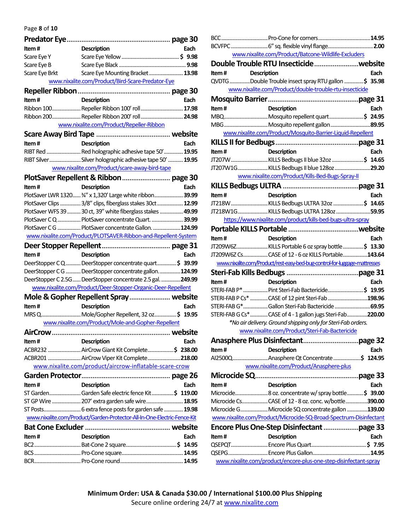Page **8** of **10**

| <b>Description</b><br>Each<br>Item#<br>Scare Eye Y<br>Scare Eye B<br>Scare Eye Mounting Bracket 13.98<br>Scare Eye Brkt<br>www.nixalite.com/Product/Bird-Scare-Predator-Eye<br>Item#<br>Each<br><b>Description</b><br>Ribbon 100 Repeller Ribbon 100' roll  17.98<br>Ribbon 200 Repeller Ribbon 200' roll  24.98<br>www.nixalite.com/Product/Repeller-Ribbon<br>Item#<br><b>Description</b><br>Each<br>RIBT Red  Red holographic adhesive tape 50' 19.95<br>RIBT Silver Silver holographic adhesive tape 50'  19.95<br>www.nixalite.com/Product/scare-away-bird-tape<br>Item#<br>Each<br><b>Description</b><br>PlotSaver LWR 1320 34" x 1,320' Large white ribbon 39.99<br>PlotSaver Clips  3/8" clips, fiberglass stakes 30ct  12.99<br>PlotSaver WFS 39  30 ct, 39" white fiberglass stakes  49.99<br>PlotSaver CQ  PlotSaver concentrate Quart. 39.99<br>PlotSaver C G  PlotSaver concentrate Gallon.  124.99<br>www.nixalite.com/Product/PLOTSAVER-Ribbon-and-Repellent-System<br>Item#<br><b>Description</b><br>Each<br>DeerStopper CQ DeerStopper concentrate quart\$ 39.99<br>DeerStopper CG DeerStopper concentrate gallon. 124.99<br>DeerStopper C 2.5G DeerStopper concentrate 2.5 gal. 249.99<br>www.nixalite.com/Product/Deer-Stopper-Organic-Deer-Repellent<br>Mole & Gopher Repellent Spray website<br>Item#<br><b>Description</b><br>Each<br>MRS Q Mole/Gopher Repellent, 32 oz\$ 19.95<br>www.nixalite.com/Product/Mole-and-Gopher-Repellent<br>AirCrow<br><b>Description</b><br>ltem #<br>Each<br>ACBR232  AirCrow Giant Kit Complete\$ 238.00<br>ACBR201  AirCrow Viper Kit Complete218.00<br>www.nixalite.com/product/aircrow-inflatable-scare-crow<br><b>Description</b><br>Item#<br>Each<br>ST GardenGarden Safe electric fence Kit\$ 119.00<br>ST GP Wire  207' extra garden safe wire  18.95<br>www.nixalite.com/Product/Garden-Protector-All-In-One-Electric-Fence-Kit<br><b>Description</b><br>Each<br>ltem # |  |         |
|----------------------------------------------------------------------------------------------------------------------------------------------------------------------------------------------------------------------------------------------------------------------------------------------------------------------------------------------------------------------------------------------------------------------------------------------------------------------------------------------------------------------------------------------------------------------------------------------------------------------------------------------------------------------------------------------------------------------------------------------------------------------------------------------------------------------------------------------------------------------------------------------------------------------------------------------------------------------------------------------------------------------------------------------------------------------------------------------------------------------------------------------------------------------------------------------------------------------------------------------------------------------------------------------------------------------------------------------------------------------------------------------------------------------------------------------------------------------------------------------------------------------------------------------------------------------------------------------------------------------------------------------------------------------------------------------------------------------------------------------------------------------------------------------------------------------------------------------------------------------------------------------------------------------------------------|--|---------|
|                                                                                                                                                                                                                                                                                                                                                                                                                                                                                                                                                                                                                                                                                                                                                                                                                                                                                                                                                                                                                                                                                                                                                                                                                                                                                                                                                                                                                                                                                                                                                                                                                                                                                                                                                                                                                                                                                                                                        |  |         |
|                                                                                                                                                                                                                                                                                                                                                                                                                                                                                                                                                                                                                                                                                                                                                                                                                                                                                                                                                                                                                                                                                                                                                                                                                                                                                                                                                                                                                                                                                                                                                                                                                                                                                                                                                                                                                                                                                                                                        |  |         |
|                                                                                                                                                                                                                                                                                                                                                                                                                                                                                                                                                                                                                                                                                                                                                                                                                                                                                                                                                                                                                                                                                                                                                                                                                                                                                                                                                                                                                                                                                                                                                                                                                                                                                                                                                                                                                                                                                                                                        |  |         |
|                                                                                                                                                                                                                                                                                                                                                                                                                                                                                                                                                                                                                                                                                                                                                                                                                                                                                                                                                                                                                                                                                                                                                                                                                                                                                                                                                                                                                                                                                                                                                                                                                                                                                                                                                                                                                                                                                                                                        |  |         |
|                                                                                                                                                                                                                                                                                                                                                                                                                                                                                                                                                                                                                                                                                                                                                                                                                                                                                                                                                                                                                                                                                                                                                                                                                                                                                                                                                                                                                                                                                                                                                                                                                                                                                                                                                                                                                                                                                                                                        |  |         |
|                                                                                                                                                                                                                                                                                                                                                                                                                                                                                                                                                                                                                                                                                                                                                                                                                                                                                                                                                                                                                                                                                                                                                                                                                                                                                                                                                                                                                                                                                                                                                                                                                                                                                                                                                                                                                                                                                                                                        |  |         |
|                                                                                                                                                                                                                                                                                                                                                                                                                                                                                                                                                                                                                                                                                                                                                                                                                                                                                                                                                                                                                                                                                                                                                                                                                                                                                                                                                                                                                                                                                                                                                                                                                                                                                                                                                                                                                                                                                                                                        |  |         |
|                                                                                                                                                                                                                                                                                                                                                                                                                                                                                                                                                                                                                                                                                                                                                                                                                                                                                                                                                                                                                                                                                                                                                                                                                                                                                                                                                                                                                                                                                                                                                                                                                                                                                                                                                                                                                                                                                                                                        |  |         |
|                                                                                                                                                                                                                                                                                                                                                                                                                                                                                                                                                                                                                                                                                                                                                                                                                                                                                                                                                                                                                                                                                                                                                                                                                                                                                                                                                                                                                                                                                                                                                                                                                                                                                                                                                                                                                                                                                                                                        |  |         |
|                                                                                                                                                                                                                                                                                                                                                                                                                                                                                                                                                                                                                                                                                                                                                                                                                                                                                                                                                                                                                                                                                                                                                                                                                                                                                                                                                                                                                                                                                                                                                                                                                                                                                                                                                                                                                                                                                                                                        |  |         |
|                                                                                                                                                                                                                                                                                                                                                                                                                                                                                                                                                                                                                                                                                                                                                                                                                                                                                                                                                                                                                                                                                                                                                                                                                                                                                                                                                                                                                                                                                                                                                                                                                                                                                                                                                                                                                                                                                                                                        |  |         |
|                                                                                                                                                                                                                                                                                                                                                                                                                                                                                                                                                                                                                                                                                                                                                                                                                                                                                                                                                                                                                                                                                                                                                                                                                                                                                                                                                                                                                                                                                                                                                                                                                                                                                                                                                                                                                                                                                                                                        |  |         |
|                                                                                                                                                                                                                                                                                                                                                                                                                                                                                                                                                                                                                                                                                                                                                                                                                                                                                                                                                                                                                                                                                                                                                                                                                                                                                                                                                                                                                                                                                                                                                                                                                                                                                                                                                                                                                                                                                                                                        |  |         |
|                                                                                                                                                                                                                                                                                                                                                                                                                                                                                                                                                                                                                                                                                                                                                                                                                                                                                                                                                                                                                                                                                                                                                                                                                                                                                                                                                                                                                                                                                                                                                                                                                                                                                                                                                                                                                                                                                                                                        |  |         |
|                                                                                                                                                                                                                                                                                                                                                                                                                                                                                                                                                                                                                                                                                                                                                                                                                                                                                                                                                                                                                                                                                                                                                                                                                                                                                                                                                                                                                                                                                                                                                                                                                                                                                                                                                                                                                                                                                                                                        |  |         |
|                                                                                                                                                                                                                                                                                                                                                                                                                                                                                                                                                                                                                                                                                                                                                                                                                                                                                                                                                                                                                                                                                                                                                                                                                                                                                                                                                                                                                                                                                                                                                                                                                                                                                                                                                                                                                                                                                                                                        |  |         |
|                                                                                                                                                                                                                                                                                                                                                                                                                                                                                                                                                                                                                                                                                                                                                                                                                                                                                                                                                                                                                                                                                                                                                                                                                                                                                                                                                                                                                                                                                                                                                                                                                                                                                                                                                                                                                                                                                                                                        |  |         |
|                                                                                                                                                                                                                                                                                                                                                                                                                                                                                                                                                                                                                                                                                                                                                                                                                                                                                                                                                                                                                                                                                                                                                                                                                                                                                                                                                                                                                                                                                                                                                                                                                                                                                                                                                                                                                                                                                                                                        |  |         |
|                                                                                                                                                                                                                                                                                                                                                                                                                                                                                                                                                                                                                                                                                                                                                                                                                                                                                                                                                                                                                                                                                                                                                                                                                                                                                                                                                                                                                                                                                                                                                                                                                                                                                                                                                                                                                                                                                                                                        |  |         |
|                                                                                                                                                                                                                                                                                                                                                                                                                                                                                                                                                                                                                                                                                                                                                                                                                                                                                                                                                                                                                                                                                                                                                                                                                                                                                                                                                                                                                                                                                                                                                                                                                                                                                                                                                                                                                                                                                                                                        |  |         |
|                                                                                                                                                                                                                                                                                                                                                                                                                                                                                                                                                                                                                                                                                                                                                                                                                                                                                                                                                                                                                                                                                                                                                                                                                                                                                                                                                                                                                                                                                                                                                                                                                                                                                                                                                                                                                                                                                                                                        |  |         |
|                                                                                                                                                                                                                                                                                                                                                                                                                                                                                                                                                                                                                                                                                                                                                                                                                                                                                                                                                                                                                                                                                                                                                                                                                                                                                                                                                                                                                                                                                                                                                                                                                                                                                                                                                                                                                                                                                                                                        |  |         |
|                                                                                                                                                                                                                                                                                                                                                                                                                                                                                                                                                                                                                                                                                                                                                                                                                                                                                                                                                                                                                                                                                                                                                                                                                                                                                                                                                                                                                                                                                                                                                                                                                                                                                                                                                                                                                                                                                                                                        |  |         |
|                                                                                                                                                                                                                                                                                                                                                                                                                                                                                                                                                                                                                                                                                                                                                                                                                                                                                                                                                                                                                                                                                                                                                                                                                                                                                                                                                                                                                                                                                                                                                                                                                                                                                                                                                                                                                                                                                                                                        |  |         |
|                                                                                                                                                                                                                                                                                                                                                                                                                                                                                                                                                                                                                                                                                                                                                                                                                                                                                                                                                                                                                                                                                                                                                                                                                                                                                                                                                                                                                                                                                                                                                                                                                                                                                                                                                                                                                                                                                                                                        |  |         |
|                                                                                                                                                                                                                                                                                                                                                                                                                                                                                                                                                                                                                                                                                                                                                                                                                                                                                                                                                                                                                                                                                                                                                                                                                                                                                                                                                                                                                                                                                                                                                                                                                                                                                                                                                                                                                                                                                                                                        |  |         |
|                                                                                                                                                                                                                                                                                                                                                                                                                                                                                                                                                                                                                                                                                                                                                                                                                                                                                                                                                                                                                                                                                                                                                                                                                                                                                                                                                                                                                                                                                                                                                                                                                                                                                                                                                                                                                                                                                                                                        |  |         |
|                                                                                                                                                                                                                                                                                                                                                                                                                                                                                                                                                                                                                                                                                                                                                                                                                                                                                                                                                                                                                                                                                                                                                                                                                                                                                                                                                                                                                                                                                                                                                                                                                                                                                                                                                                                                                                                                                                                                        |  |         |
|                                                                                                                                                                                                                                                                                                                                                                                                                                                                                                                                                                                                                                                                                                                                                                                                                                                                                                                                                                                                                                                                                                                                                                                                                                                                                                                                                                                                                                                                                                                                                                                                                                                                                                                                                                                                                                                                                                                                        |  |         |
|                                                                                                                                                                                                                                                                                                                                                                                                                                                                                                                                                                                                                                                                                                                                                                                                                                                                                                                                                                                                                                                                                                                                                                                                                                                                                                                                                                                                                                                                                                                                                                                                                                                                                                                                                                                                                                                                                                                                        |  |         |
|                                                                                                                                                                                                                                                                                                                                                                                                                                                                                                                                                                                                                                                                                                                                                                                                                                                                                                                                                                                                                                                                                                                                                                                                                                                                                                                                                                                                                                                                                                                                                                                                                                                                                                                                                                                                                                                                                                                                        |  |         |
|                                                                                                                                                                                                                                                                                                                                                                                                                                                                                                                                                                                                                                                                                                                                                                                                                                                                                                                                                                                                                                                                                                                                                                                                                                                                                                                                                                                                                                                                                                                                                                                                                                                                                                                                                                                                                                                                                                                                        |  |         |
|                                                                                                                                                                                                                                                                                                                                                                                                                                                                                                                                                                                                                                                                                                                                                                                                                                                                                                                                                                                                                                                                                                                                                                                                                                                                                                                                                                                                                                                                                                                                                                                                                                                                                                                                                                                                                                                                                                                                        |  |         |
|                                                                                                                                                                                                                                                                                                                                                                                                                                                                                                                                                                                                                                                                                                                                                                                                                                                                                                                                                                                                                                                                                                                                                                                                                                                                                                                                                                                                                                                                                                                                                                                                                                                                                                                                                                                                                                                                                                                                        |  |         |
|                                                                                                                                                                                                                                                                                                                                                                                                                                                                                                                                                                                                                                                                                                                                                                                                                                                                                                                                                                                                                                                                                                                                                                                                                                                                                                                                                                                                                                                                                                                                                                                                                                                                                                                                                                                                                                                                                                                                        |  |         |
|                                                                                                                                                                                                                                                                                                                                                                                                                                                                                                                                                                                                                                                                                                                                                                                                                                                                                                                                                                                                                                                                                                                                                                                                                                                                                                                                                                                                                                                                                                                                                                                                                                                                                                                                                                                                                                                                                                                                        |  | website |
|                                                                                                                                                                                                                                                                                                                                                                                                                                                                                                                                                                                                                                                                                                                                                                                                                                                                                                                                                                                                                                                                                                                                                                                                                                                                                                                                                                                                                                                                                                                                                                                                                                                                                                                                                                                                                                                                                                                                        |  |         |
|                                                                                                                                                                                                                                                                                                                                                                                                                                                                                                                                                                                                                                                                                                                                                                                                                                                                                                                                                                                                                                                                                                                                                                                                                                                                                                                                                                                                                                                                                                                                                                                                                                                                                                                                                                                                                                                                                                                                        |  |         |
|                                                                                                                                                                                                                                                                                                                                                                                                                                                                                                                                                                                                                                                                                                                                                                                                                                                                                                                                                                                                                                                                                                                                                                                                                                                                                                                                                                                                                                                                                                                                                                                                                                                                                                                                                                                                                                                                                                                                        |  |         |
|                                                                                                                                                                                                                                                                                                                                                                                                                                                                                                                                                                                                                                                                                                                                                                                                                                                                                                                                                                                                                                                                                                                                                                                                                                                                                                                                                                                                                                                                                                                                                                                                                                                                                                                                                                                                                                                                                                                                        |  |         |
|                                                                                                                                                                                                                                                                                                                                                                                                                                                                                                                                                                                                                                                                                                                                                                                                                                                                                                                                                                                                                                                                                                                                                                                                                                                                                                                                                                                                                                                                                                                                                                                                                                                                                                                                                                                                                                                                                                                                        |  |         |
|                                                                                                                                                                                                                                                                                                                                                                                                                                                                                                                                                                                                                                                                                                                                                                                                                                                                                                                                                                                                                                                                                                                                                                                                                                                                                                                                                                                                                                                                                                                                                                                                                                                                                                                                                                                                                                                                                                                                        |  |         |
|                                                                                                                                                                                                                                                                                                                                                                                                                                                                                                                                                                                                                                                                                                                                                                                                                                                                                                                                                                                                                                                                                                                                                                                                                                                                                                                                                                                                                                                                                                                                                                                                                                                                                                                                                                                                                                                                                                                                        |  |         |
|                                                                                                                                                                                                                                                                                                                                                                                                                                                                                                                                                                                                                                                                                                                                                                                                                                                                                                                                                                                                                                                                                                                                                                                                                                                                                                                                                                                                                                                                                                                                                                                                                                                                                                                                                                                                                                                                                                                                        |  |         |
|                                                                                                                                                                                                                                                                                                                                                                                                                                                                                                                                                                                                                                                                                                                                                                                                                                                                                                                                                                                                                                                                                                                                                                                                                                                                                                                                                                                                                                                                                                                                                                                                                                                                                                                                                                                                                                                                                                                                        |  |         |
|                                                                                                                                                                                                                                                                                                                                                                                                                                                                                                                                                                                                                                                                                                                                                                                                                                                                                                                                                                                                                                                                                                                                                                                                                                                                                                                                                                                                                                                                                                                                                                                                                                                                                                                                                                                                                                                                                                                                        |  |         |
|                                                                                                                                                                                                                                                                                                                                                                                                                                                                                                                                                                                                                                                                                                                                                                                                                                                                                                                                                                                                                                                                                                                                                                                                                                                                                                                                                                                                                                                                                                                                                                                                                                                                                                                                                                                                                                                                                                                                        |  |         |
|                                                                                                                                                                                                                                                                                                                                                                                                                                                                                                                                                                                                                                                                                                                                                                                                                                                                                                                                                                                                                                                                                                                                                                                                                                                                                                                                                                                                                                                                                                                                                                                                                                                                                                                                                                                                                                                                                                                                        |  |         |
|                                                                                                                                                                                                                                                                                                                                                                                                                                                                                                                                                                                                                                                                                                                                                                                                                                                                                                                                                                                                                                                                                                                                                                                                                                                                                                                                                                                                                                                                                                                                                                                                                                                                                                                                                                                                                                                                                                                                        |  |         |
|                                                                                                                                                                                                                                                                                                                                                                                                                                                                                                                                                                                                                                                                                                                                                                                                                                                                                                                                                                                                                                                                                                                                                                                                                                                                                                                                                                                                                                                                                                                                                                                                                                                                                                                                                                                                                                                                                                                                        |  |         |

|        | www.nixalite.com/Product/Batcone-Wildlife-Excluders                                                                      |      |
|--------|--------------------------------------------------------------------------------------------------------------------------|------|
|        |                                                                                                                          |      |
| Item#  | <b>Description</b>                                                                                                       | Each |
|        | QVDTG Double Trouble insect spray RTU gallon \$ 35.98                                                                    |      |
|        | www.nixalite.com/Product/double-trouble-rtu-insecticide                                                                  |      |
|        |                                                                                                                          |      |
| Item#  | <b>Description</b>                                                                                                       | Each |
|        | MBQMosquito repellent quart\$ 24.95                                                                                      |      |
|        | MBGMosquito repellent gallon89.95                                                                                        |      |
|        | www.nixalite.com/Product/Mosquito-Barrier-Liquid-Repellent                                                               |      |
|        |                                                                                                                          |      |
| Item#  | <b>Description</b>                                                                                                       | Each |
|        | JT207W KILLS Bedbugs II blue 32oz \$ 14.65                                                                               |      |
|        | JT207W1GKILLS Bedbugs II blue 128oz29.20                                                                                 |      |
|        | www.nixalite.com/Product/Kills-Bed-Bugs-Spray-II                                                                         |      |
|        |                                                                                                                          |      |
| Item#  | <b>Description</b>                                                                                                       | Each |
|        | JT218W KILLS Bedbugs ULTRA 32oz \$ 14.65                                                                                 |      |
|        | JT218W1GKILLS Bedbugs ULTRA 1280z59.95                                                                                   |      |
|        | https://www.nixalite.com/product/kills-bed-bugs-ultra-spray                                                              |      |
|        |                                                                                                                          |      |
| Item#  | <b>Description</b>                                                                                                       | Each |
|        | JT209W6ZKILLS Portable 6 oz spray bottle\$ 13.30                                                                         |      |
|        |                                                                                                                          |      |
|        |                                                                                                                          |      |
|        | JT209W6Z CsCASE of 12 - 6 oz KILLS Portable143.64                                                                        |      |
|        | www.nixalite.com/Product/rest-easy-bed-bug-control-for-luggage-mattresses                                                |      |
|        |                                                                                                                          |      |
| Item#  | <b>Description</b>                                                                                                       | Each |
|        | STERI-FAB P*  Pint Steri-Fab Bactericide\$ 19.95                                                                         |      |
|        | STERI-FAB P Cs* CASE of 12 pint Steri-Fab 198.96<br>STERI-FAB G*Gallon Steri-Fab Bactericide 69.95                       |      |
|        |                                                                                                                          |      |
|        | STERI-FAB G Cs*CASE of 4 - 1 gallon jugs Steri-Fab220.00<br>*No air delivery. Ground shipping only for Steri-Fab orders. |      |
|        | www.nixalite.com/Product/Steri-Fab-Bactericide                                                                           |      |
|        |                                                                                                                          |      |
| Item#  |                                                                                                                          | Each |
|        | <b>Description</b>                                                                                                       |      |
|        | Al2500QAnasphere Qt Concentrate \$ 124.95                                                                                |      |
|        | www.nixalite.com/Product/Anasphere-plus                                                                                  |      |
| Item # |                                                                                                                          | Each |
|        | <b>Description</b>                                                                                                       |      |
|        | Microcide CsCASE of 12 - 8 oz. conc. w/bottle390.00                                                                      |      |
|        | Microcide G Microcide SQ concentrate gallon 139.00                                                                       |      |
|        | www.nixalite.com/Product/Microcide-SQ-Broad-Spectrum-Disinfectant                                                        |      |
|        |                                                                                                                          |      |
| Item#  |                                                                                                                          |      |
|        | Description                                                                                                              | Each |
|        |                                                                                                                          |      |
|        | www.nixalite.com/product/encore-plus-one-step-disinfectant-spray                                                         |      |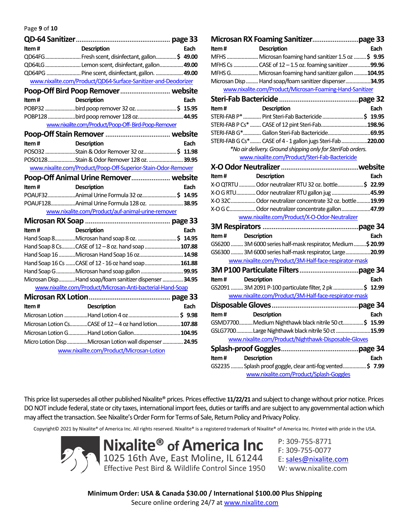Page **9** of **10**

| Item# | <b>Description</b>                                             | Each |
|-------|----------------------------------------------------------------|------|
|       | QD64FG Fresh scent, disinfectant, gallon\$ 49.00               |      |
|       | QD64LG  Lemon scent, disinfectant, gallon  49.00               |      |
|       | QD64PG  Pine scent, disinfectant, gallon.  49.00               |      |
|       | www.nixalite.com/Product/QD64-Surface-Sanitizer-and-Deodorizer |      |
|       | Poop-Off Bird Poop Remover website                             |      |
| Item# | <b>Description</b>                                             | Each |
|       | POBP32 bird poop remover 32 oz\$ 15.95                         |      |
|       |                                                                |      |
|       | www.nixalite.com/Product/Poop-Off-Bird-Poop-Remover            |      |
|       |                                                                |      |
| Item# | <b>Description</b>                                             | Each |
|       | POSO32 Stain & Odor Remover 32 oz\$ 11.98                      |      |
|       | POSO128Stain & Odor Remover 128 oz. 39.95                      |      |
|       | www.nixalite.com/Product/Poop-Off-Superior-Stain-Odor-Remover  |      |
|       | Poop-Off Animal Urine Remover website                          |      |
| Item# | <b>Description</b>                                             | Each |
|       | POAUF32Animal Urine Formula 32 oz \$ 14.95                     |      |
|       | POAUF128Animal Urine Formula 128 oz. 38.95                     |      |
|       | www.nixalite.com/Product/auf-animal-urine-remover              |      |
|       |                                                                |      |
| Item# | <b>Description</b>                                             | Each |
|       | Hand Soap 8Microsan hand soap 8 oz. \$ 14.95                   |      |
|       | Hand Soap 8 CsCASE of 12 - 8 oz. hand soap 107.88              |      |
|       | Hand Soap 16 Microsan Hand Soap 16 oz 14.98                    |      |
|       | Hand Soap 16 Cs CASE of 12 - 16 oz hand soap161.88             |      |
|       |                                                                |      |
|       | Microsan DispHand soap/foam sanitizer dispenser  34.95         |      |
|       | www.nixalite.com/Product/Microsan-Anti-bacterial-Hand-Soap     |      |
|       |                                                                |      |
| Item# | <b>Description</b>                                             | Each |
|       |                                                                |      |
|       | Microsan Lotion CsCASE of 12 - 4 oz hand lotion107.88          |      |
|       | Microsan Lotion GHand Lotion Gallon 104.95                     |      |
|       | Micro Lotion Disp Microsan Lotion wall dispenser  24.95        |      |
|       | www.nixalite.com/Product/Microsan-Lotion                       |      |

| Item#                       | <b>Description</b>                                                                                                                             | Each |
|-----------------------------|------------------------------------------------------------------------------------------------------------------------------------------------|------|
|                             | MFHS  Microsan foaming hand sanitizer 1.5 oz \$ 9.95                                                                                           |      |
|                             | MFHS Cs  CASE of 12 - 1.5 oz. foaming sanitizer 99.96                                                                                          |      |
|                             | MFHS G Microsan foaming hand sanitizer gallon 104.95                                                                                           |      |
|                             | Microsan Disp  Hand soap/foam sanitizer dispenser34.95                                                                                         |      |
|                             | www.nixalite.com/Product/Microsan-Foaming-Hand-Sanitizer                                                                                       |      |
|                             |                                                                                                                                                |      |
| Item#                       | <b>Description</b>                                                                                                                             | Each |
|                             | المسدد مستقل المستقلة المستقلة المستقلة المستقلة المستقلة المستقلة المستقلة المستقلة المستقلة المستق<br>19.95 \$ Pint Steri-Fab Bactericide \$ |      |
|                             | STERI-FAB P Cs*  CASE of 12 pint Steri-Fab198.96                                                                                               |      |
|                             | STERI-FAB G* Gallon Steri-Fab Bactericide 69.95                                                                                                |      |
|                             | STERI-FAB G Cs* CASE of 4 - 1 gallon jugs Steri-Fab 220.00                                                                                     |      |
|                             | *No air delivery. Ground shipping only for SteriFab orders.                                                                                    |      |
|                             | www.nixalite.com/Product/Steri-Fab-Bactericide                                                                                                 |      |
|                             |                                                                                                                                                |      |
| Item#                       | <b>Description</b>                                                                                                                             | Each |
|                             | X-O QTRTU Odor neutralizer RTU 32 oz. bottle\$ 22.99                                                                                           |      |
|                             | X-O G RTUOdor neutralizer RTU gallon jug 45.99                                                                                                 |      |
|                             | X-O 32C Odor neutralizer concentrate 32 oz. bottle19.99                                                                                        |      |
|                             | X-O G C Odor neutralizer concentrate gallon47.99                                                                                               |      |
|                             | www.nixalite.com/Product/X-O-Odor-Neutralizer                                                                                                  |      |
|                             |                                                                                                                                                |      |
| Item#<br>Description        |                                                                                                                                                | Each |
|                             | GS6200  3M 6000 series half-mask respirator, Medium  \$20.99                                                                                   |      |
|                             | GS6300  3M 6000 series half-mask respirator, Large  20.99                                                                                      |      |
|                             | www.nixalite.com/Product/3M-Half-face-respirator-mask                                                                                          |      |
|                             |                                                                                                                                                |      |
| Item # Description          |                                                                                                                                                | Each |
|                             | GS2091  3M 2091 P-100 particulate filter, 2 pk \$ 12.99                                                                                        |      |
|                             | www.nixalite.com/Product/3M-Half-face-respirator-mask                                                                                          |      |
|                             |                                                                                                                                                |      |
| Item#                       | <b>Description</b>                                                                                                                             | Each |
|                             | GSMD7700Medium Nighthawk black nitrile 50 ct\$ 15.99                                                                                           |      |
|                             | GSLG7700Large Nighthawk black nitrile 50 ct 15.99                                                                                              |      |
|                             | www.nixalite.com/Product/Nighthawk-Disposable-Gloves                                                                                           |      |
|                             |                                                                                                                                                |      |
| Item#<br><b>Description</b> |                                                                                                                                                | Each |
|                             | GS2235  Splash proof goggle, clear anti-fog vented \$ 7.99                                                                                     |      |
|                             | www.nixalite.com/Product/Splash-Goggles                                                                                                        |      |

This price list supersedes all other published Nixalite® prices. Prices effective **11/22/21** and subject to change without prior notice. Prices DO NOT include federal, state or city taxes, international import fees, duties or tariffs and are subject to any governmental action which may affect the transaction. See Nixalite's Order Form for Terms of Sale, Return Policy and Privacy Policy.

Copyright© 2021 by Nixalite® of America Inc. All rights reserved. Nixalite® is a registered trademark of Nixalite® of America Inc. Printed with pride in the USA.



**Nixalite® of America Inc** 1025 16th Ave, East Moline, IL 61244 Effective Pest Bird & Wildlife Control Since 1950

P: 309-755-8771 F: 309-755-0077 E: sales@nixalite.com W: www.nixalite.com

**Minimum Order: USA & Canada \$30.00 / International \$100.00 Plus Shipping** Secure online ordering 24/7 at www.nixalite.com